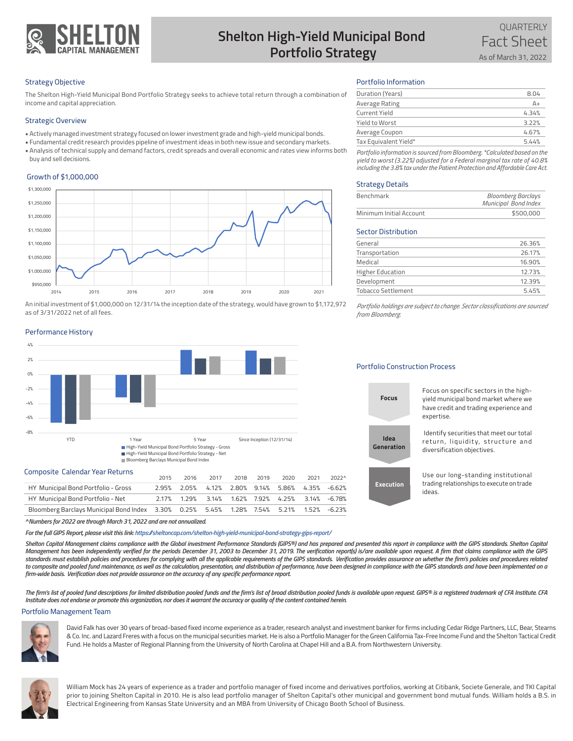

# **Shelton High-Yield Municipal Bond Portfolio Strategy**

## Strategy Objective

The Shelton High-Yield Municipal Bond Portfolio Strategy seeks to achieve total return through a combination of income and capital appreciation.

### Strategic Overview

- Actively managed investment strategy focused on lower investment grade and high-yield municipal bonds.
- Fundamental credit research provides pipeline of investment ideas in both new issue and secondary markets.
- Analysis of technical supply and demand factors, credit spreads and overall economic and rates view informs both buy and sell decisions.

## Growth of \$1,000,000

Performance History



An initial investment of \$1,000,000 on 12/31/14 the inception date of the strategy, would have grown to \$1,172,972 as of 3/31/2022 net of all fees.

## -8% -6% -4% -2%  $0%$  $2<sup>q</sup>$  $4%$ YTD 1 Year 1 Year 5 Year 5 Year Since Inception (12/31/14) High-Yield Municipal Bond Portfolio Strategy - Gross High-Yield Municipal Bond Portfolio Strategy - Net Bloomberg Barclays Municipal Bond Index

#### Composite Calendar Year Returns

|                                                                                          | 2015 | 2016                                             | 2017 2018 2019 |  | 2020 | 2021 | 2022^ |
|------------------------------------------------------------------------------------------|------|--------------------------------------------------|----------------|--|------|------|-------|
| HY Municipal Bond Portfolio - Gross                                                      |      | 2.95% 2.05% 4.12% 2.80% 9.14% 5.86% 4.35% -6.62% |                |  |      |      |       |
| HY Municipal Bond Portfolio - Net                                                        |      | 2.17% 1.29% 3.14% 1.62% 7.92% 4.25% 3.14% -6.78% |                |  |      |      |       |
| Bloomberg Barclays Municipal Bond Index 3.30% 0.25% 5.45% 1.28% 7.54% 5.21% 1.52% -6.23% |      |                                                  |                |  |      |      |       |
|                                                                                          |      |                                                  |                |  |      |      |       |

*^Numbers for 2022 are through March 31, 2022 and are not annualized.*

*For the full GIPS Report, please visit this link: https://sheltoncap.com/shelton-high-yield-municipal-bond-strategy-gips-report/*

Shelton Capital Management claims compliance with the Global investment Performance Standards (GIPS®) and has prepared and presented this report in compliance with the GIPS standards. Shelton Capital *Management has been independently verified for the periods December 31, 2003 to December 31, 2019. The verification report(s) is/are available upon request. A firm that claims compliance with the GIPS standards must establish policies and procedures for complying with all the applicable requirements of the GIPS standards. Verification provides assurance on whether the firm's policies and procedures related*  to composite and pooled fund maintenance, as well as the calculation, presentation, and distribution of performance, have been designed in compliance with the GIPS standards and have been implemented on a *firm-wide basis. Verification does not provide assurance on the accuracy of any specific performance report.* 

The firm's list of pooled fund descriptions for limited distribution pooled funds and the firm's list of broad distribution pooled funds is available upon request. GIPS® is a registered trademark of CFA Institute. CFA *Institute does not endorse or promote this organization, nor does it warrant the accuracy or quality of the content contained herein.*

#### Portfolio Management Team



David Falk has over 30 years of broad-based fixed income experience as a trader, research analyst and investment banker for firms including Cedar Ridge Partners, LLC, Bear, Stearns & Co. Inc. and Lazard Freres with a focus on the municipal securities market. He is also a Portfolio Manager for the Green California Tax-Free Income Fund and the Shelton Tactical Credit Fund. He holds a Master of Regional Planning from the University of North Carolina at Chapel Hill and a B.A. from Northwestern University.



William Mock has 24 years of experience as a trader and portfolio manager of fixed income and derivatives portfolios, working at Citibank, Societe Generale, and TKI Capital prior to joining Shelton Capital in 2010. He is also lead portfolio manager of Shelton Capital's other municipal and government bond mutual funds. William holds a B.S. in Electrical Engineering from Kansas State University and an MBA from University of Chicago Booth School of Business.

## Portfolio Information

| Duration (Years)      | 8.04  |
|-----------------------|-------|
| Average Rating        | $A+$  |
| Current Yield         | 4.34% |
| Yield to Worst        | 3.22% |
| Average Coupon        | 4.67% |
| Tax Equivalent Yield* | 5.44% |
|                       |       |

### Strategy Details

| Benchmark               | <b>Bloomberg Barclays</b><br>Municipal Bond Index |
|-------------------------|---------------------------------------------------|
| Minimum Initial Account | \$500,000                                         |

#### Sector Distribution

| General                 | 26.36% |
|-------------------------|--------|
| Transportation          | 26.17% |
| Medical                 | 16.90% |
| <b>Higher Education</b> | 12.73% |
| Development             | 12.39% |
| Tobacco Settlement      | 5.45%  |
|                         |        |

### Portfolio Construction Process

| <b>Fact Sheet</b><br>Portfolio Information<br>Duration (Years)<br>8.04<br><b>Average Rating</b><br>$A+$<br>Current Yield<br>4.34%<br>Yield to Worst<br>3.22%<br>4.67%<br>Average Coupon<br>Tax Equivalent Yield*<br>5.44%<br>Portfolio information is sourced from Bloomberg. *Calculated based on the<br>yield to worst (3.22%) adjusted for a Federal marginal tax rate of 40.8%<br>including the 3.8% tax under the Patient Protection and Affordable Care Act<br><b>Strategy Details</b><br>Benchmark<br><b>Bloomberg Barclays</b><br>Municipal Bond Index<br>\$500,000<br>Minimum Initial Account<br><b>Sector Distribution</b><br>26.36%<br>General<br>Transportation<br>26.17%<br>Medical<br>16.90%<br><b>Higher Education</b><br>Development<br>12.39%<br>Tobacco Settlement<br>2021<br>Portfolio holdings are subject to change. Sector classifications are sourced<br>from Bloomberg.<br><b>Portfolio Construction Process</b><br>Focus on specific sectors in the high-<br>Focus<br>yield municipal bond market where we<br>have credit and trading experience and<br>expertise.<br>Identify securities that meet our total<br>Idea<br>return, liquidity, structure and<br>Generation<br>diversification objectives.<br>Use our long-standing institutional<br>2021<br>2022^<br>trading relationships to execute on trade<br><b>Execution</b><br>$-6.62%$<br>ideas.<br>$-6.78%$ |  |                      |
|--------------------------------------------------------------------------------------------------------------------------------------------------------------------------------------------------------------------------------------------------------------------------------------------------------------------------------------------------------------------------------------------------------------------------------------------------------------------------------------------------------------------------------------------------------------------------------------------------------------------------------------------------------------------------------------------------------------------------------------------------------------------------------------------------------------------------------------------------------------------------------------------------------------------------------------------------------------------------------------------------------------------------------------------------------------------------------------------------------------------------------------------------------------------------------------------------------------------------------------------------------------------------------------------------------------------------------------------------------------------------------------------|--|----------------------|
|                                                                                                                                                                                                                                                                                                                                                                                                                                                                                                                                                                                                                                                                                                                                                                                                                                                                                                                                                                                                                                                                                                                                                                                                                                                                                                                                                                                            |  |                      |
|                                                                                                                                                                                                                                                                                                                                                                                                                                                                                                                                                                                                                                                                                                                                                                                                                                                                                                                                                                                                                                                                                                                                                                                                                                                                                                                                                                                            |  |                      |
|                                                                                                                                                                                                                                                                                                                                                                                                                                                                                                                                                                                                                                                                                                                                                                                                                                                                                                                                                                                                                                                                                                                                                                                                                                                                                                                                                                                            |  |                      |
|                                                                                                                                                                                                                                                                                                                                                                                                                                                                                                                                                                                                                                                                                                                                                                                                                                                                                                                                                                                                                                                                                                                                                                                                                                                                                                                                                                                            |  |                      |
| -Yield Municipal Bond                                                                                                                                                                                                                                                                                                                                                                                                                                                                                                                                                                                                                                                                                                                                                                                                                                                                                                                                                                                                                                                                                                                                                                                                                                                                                                                                                                      |  |                      |
|                                                                                                                                                                                                                                                                                                                                                                                                                                                                                                                                                                                                                                                                                                                                                                                                                                                                                                                                                                                                                                                                                                                                                                                                                                                                                                                                                                                            |  |                      |
| tfolio Strategy<br>h a combination of                                                                                                                                                                                                                                                                                                                                                                                                                                                                                                                                                                                                                                                                                                                                                                                                                                                                                                                                                                                                                                                                                                                                                                                                                                                                                                                                                      |  | QUARTERLY            |
| cipal bonds.<br>dary markets.<br>s view informs both<br>rown to \$1,172,972<br>4.35%<br>3.14%<br>1.52% -6.23%<br>egy-gips-report/<br>D) and has prepared and presented this report in compliance with the GIPS standards. Shelton Capital<br>. The verification report(s) is/are available upon request. A firm that claims compliance with the GIPS<br>GIPS standards. Verification provides assurance on whether the firm's policies and procedures related<br>ormance, have been designed in compliance with the GIPS standards and have been implemented on a<br>stribution pooled funds is available upon request. GIPS® is a registered trademark of CFA Institute. CFA<br>tent contained herein.<br>search analyst and investment banker for firms including Cedar Ridge Partners, LLC, Bear, Stearns<br>a Portfolio Manager for the Green California Tax-Free Income Fund and the Shelton Tactical Credit<br>at Chapel Hill and a B.A. from Northwestern University.                                                                                                                                                                                                                                                                                                                                                                                                               |  | As of March 31, 2022 |
|                                                                                                                                                                                                                                                                                                                                                                                                                                                                                                                                                                                                                                                                                                                                                                                                                                                                                                                                                                                                                                                                                                                                                                                                                                                                                                                                                                                            |  |                      |
|                                                                                                                                                                                                                                                                                                                                                                                                                                                                                                                                                                                                                                                                                                                                                                                                                                                                                                                                                                                                                                                                                                                                                                                                                                                                                                                                                                                            |  |                      |
|                                                                                                                                                                                                                                                                                                                                                                                                                                                                                                                                                                                                                                                                                                                                                                                                                                                                                                                                                                                                                                                                                                                                                                                                                                                                                                                                                                                            |  | 12.73%<br>5.45%      |
|                                                                                                                                                                                                                                                                                                                                                                                                                                                                                                                                                                                                                                                                                                                                                                                                                                                                                                                                                                                                                                                                                                                                                                                                                                                                                                                                                                                            |  |                      |
|                                                                                                                                                                                                                                                                                                                                                                                                                                                                                                                                                                                                                                                                                                                                                                                                                                                                                                                                                                                                                                                                                                                                                                                                                                                                                                                                                                                            |  |                      |
|                                                                                                                                                                                                                                                                                                                                                                                                                                                                                                                                                                                                                                                                                                                                                                                                                                                                                                                                                                                                                                                                                                                                                                                                                                                                                                                                                                                            |  |                      |
|                                                                                                                                                                                                                                                                                                                                                                                                                                                                                                                                                                                                                                                                                                                                                                                                                                                                                                                                                                                                                                                                                                                                                                                                                                                                                                                                                                                            |  |                      |
|                                                                                                                                                                                                                                                                                                                                                                                                                                                                                                                                                                                                                                                                                                                                                                                                                                                                                                                                                                                                                                                                                                                                                                                                                                                                                                                                                                                            |  |                      |